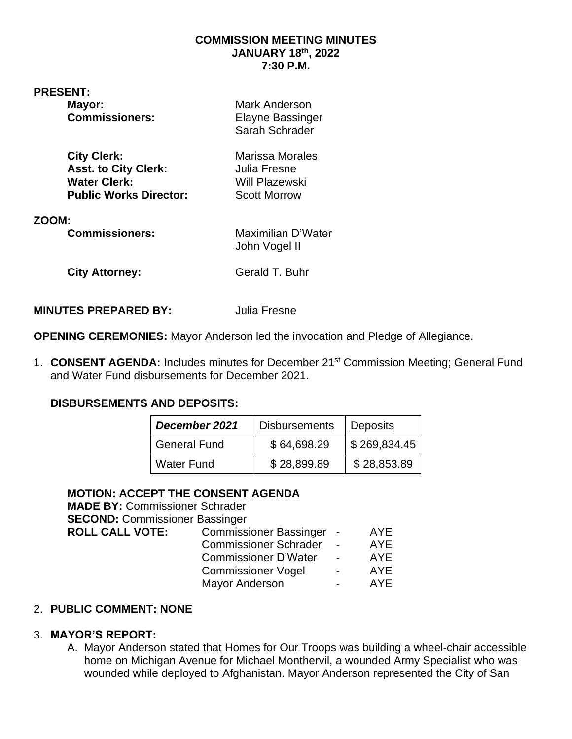#### **COMMISSION MEETING MINUTES JANUARY 18 th, 2022 7:30 P.M.**

**PRESENT:** 

| Mayor:<br><b>Commissioners:</b> | Mark Anderson<br><b>Elayne Bassinger</b><br>Sarah Schrader |
|---------------------------------|------------------------------------------------------------|
| <b>City Clerk:</b>              | Marissa Morales                                            |
| <b>Asst. to City Clerk:</b>     | Julia Fresne                                               |
| <b>Water Clerk:</b>             | <b>Will Plazewski</b>                                      |
| <b>Public Works Director:</b>   | <b>Scott Morrow</b>                                        |
| ZOOM:                           | Maximilian D'Water                                         |
| <b>Commissioners:</b>           | John Vogel II                                              |
| <b>City Attorney:</b>           | Gerald T. Buhr                                             |

#### **MINUTES PREPARED BY:** Julia Fresne

**OPENING CEREMONIES:** Mayor Anderson led the invocation and Pledge of Allegiance.

1. **CONSENT AGENDA:** Includes minutes for December 21st Commission Meeting; General Fund and Water Fund disbursements for December 2021.

### **DISBURSEMENTS AND DEPOSITS:**

| December 2021       | <b>Disbursements</b> | <b>Deposits</b> |
|---------------------|----------------------|-----------------|
| <b>General Fund</b> | \$64,698.29          | \$269,834.45    |
| <b>Water Fund</b>   | \$28,899.89          | \$28,853.89     |

## **MOTION: ACCEPT THE CONSENT AGENDA**

| <b>MADE BY: Commissioner Schrader</b> |                               |                          |            |
|---------------------------------------|-------------------------------|--------------------------|------------|
| <b>SECOND: Commissioner Bassinger</b> |                               |                          |            |
| <b>ROLL CALL VOTE:</b>                | <b>Commissioner Bassinger</b> |                          | <b>AYE</b> |
|                                       | <b>Commissioner Schrader</b>  |                          | AYE        |
|                                       | <b>Commissioner D'Water</b>   | $\blacksquare$           | <b>AYE</b> |
|                                       | <b>Commissioner Vogel</b>     | $\overline{\phantom{0}}$ | <b>AYE</b> |
|                                       | <b>Mayor Anderson</b>         |                          | <b>AYE</b> |

### 2. **PUBLIC COMMENT: NONE**

## 3. **MAYOR'S REPORT:**

A. Mayor Anderson stated that Homes for Our Troops was building a wheel-chair accessible home on Michigan Avenue for Michael Monthervil, a wounded Army Specialist who was wounded while deployed to Afghanistan. Mayor Anderson represented the City of San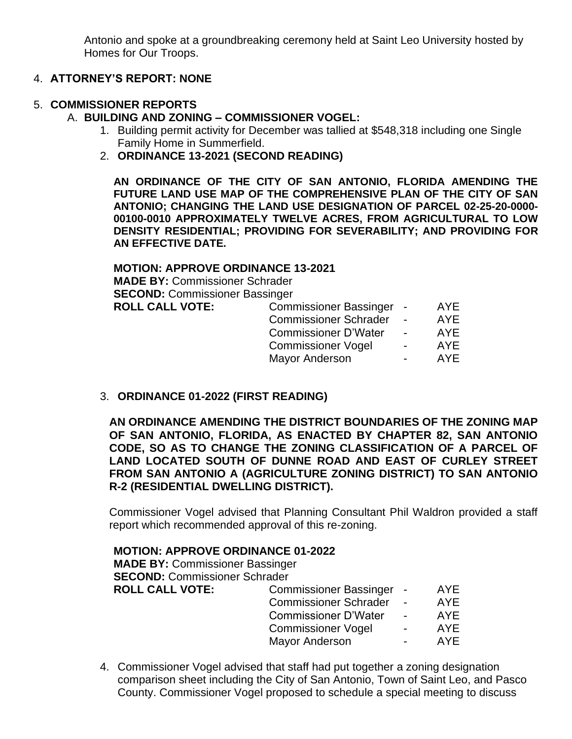Antonio and spoke at a groundbreaking ceremony held at Saint Leo University hosted by Homes for Our Troops.

## 4. **ATTORNEY'S REPORT: NONE**

## 5. **COMMISSIONER REPORTS**

## A. **BUILDING AND ZONING – COMMISSIONER VOGEL:**

- 1. Building permit activity for December was tallied at \$548,318 including one Single Family Home in Summerfield.
- 2. **ORDINANCE 13-2021 (SECOND READING)**

**AN ORDINANCE OF THE CITY OF SAN ANTONIO, FLORIDA AMENDING THE FUTURE LAND USE MAP OF THE COMPREHENSIVE PLAN OF THE CITY OF SAN ANTONIO; CHANGING THE LAND USE DESIGNATION OF PARCEL 02-25-20-0000- 00100-0010 APPROXIMATELY TWELVE ACRES, FROM AGRICULTURAL TO LOW DENSITY RESIDENTIAL; PROVIDING FOR SEVERABILITY; AND PROVIDING FOR AN EFFECTIVE DATE.**

## **MOTION: APPROVE ORDINANCE 13-2021**

**MADE BY:** Commissioner Schrader **SECOND:** Commissioner Bassinger **ROLL CALL VOTE:** 

| <b>Commissioner Bassinger</b> | AYE        |
|-------------------------------|------------|
| <b>Commissioner Schrader</b>  | <b>AYE</b> |
| <b>Commissioner D'Water</b>   | <b>AYE</b> |
| <b>Commissioner Vogel</b>     | AYE        |
| Mayor Anderson                | <b>AYE</b> |
|                               |            |

3. **ORDINANCE 01-2022 (FIRST READING)**

**AN ORDINANCE AMENDING THE DISTRICT BOUNDARIES OF THE ZONING MAP OF SAN ANTONIO, FLORIDA, AS ENACTED BY CHAPTER 82, SAN ANTONIO CODE, SO AS TO CHANGE THE ZONING CLASSIFICATION OF A PARCEL OF LAND LOCATED SOUTH OF DUNNE ROAD AND EAST OF CURLEY STREET FROM SAN ANTONIO A (AGRICULTURE ZONING DISTRICT) TO SAN ANTONIO R-2 (RESIDENTIAL DWELLING DISTRICT).**

Commissioner Vogel advised that Planning Consultant Phil Waldron provided a staff report which recommended approval of this re-zoning.

#### **MOTION: APPROVE ORDINANCE 01-2022**

**MADE BY:** Commissioner Bassinger **SECOND: Commissioner Schrader ROLL CALL VOTE:** Commissioner Bassinger - AYE Commissioner Schrader - AYE<br>Commissioner D'Water - AYE Commissioner D'Water -Commissioner Vogel - AYE Mayor Anderson **- AYE** 

4. Commissioner Vogel advised that staff had put together a zoning designation comparison sheet including the City of San Antonio, Town of Saint Leo, and Pasco County. Commissioner Vogel proposed to schedule a special meeting to discuss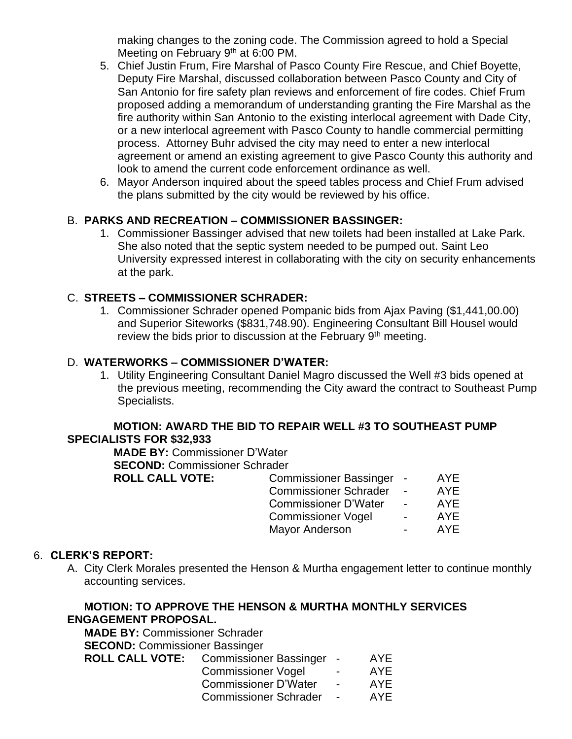making changes to the zoning code. The Commission agreed to hold a Special Meeting on February  $9<sup>th</sup>$  at 6:00 PM.

- 5. Chief Justin Frum, Fire Marshal of Pasco County Fire Rescue, and Chief Boyette, Deputy Fire Marshal, discussed collaboration between Pasco County and City of San Antonio for fire safety plan reviews and enforcement of fire codes. Chief Frum proposed adding a memorandum of understanding granting the Fire Marshal as the fire authority within San Antonio to the existing interlocal agreement with Dade City, or a new interlocal agreement with Pasco County to handle commercial permitting process. Attorney Buhr advised the city may need to enter a new interlocal agreement or amend an existing agreement to give Pasco County this authority and look to amend the current code enforcement ordinance as well.
- 6. Mayor Anderson inquired about the speed tables process and Chief Frum advised the plans submitted by the city would be reviewed by his office.

# B. **PARKS AND RECREATION – COMMISSIONER BASSINGER:**

1. Commissioner Bassinger advised that new toilets had been installed at Lake Park. She also noted that the septic system needed to be pumped out. Saint Leo University expressed interest in collaborating with the city on security enhancements at the park.

# C. **STREETS – COMMISSIONER SCHRADER:**

1. Commissioner Schrader opened Pompanic bids from Ajax Paving (\$1,441,00.00) and Superior Siteworks (\$831,748.90). Engineering Consultant Bill Housel would review the bids prior to discussion at the February 9<sup>th</sup> meeting.

## D. **WATERWORKS – COMMISSIONER D'WATER:**

1. Utility Engineering Consultant Daniel Magro discussed the Well #3 bids opened at the previous meeting, recommending the City award the contract to Southeast Pump Specialists.

#### **MOTION: AWARD THE BID TO REPAIR WELL #3 TO SOUTHEAST PUMP SPECIALISTS FOR \$32,933**

**MADE BY:** Commissioner D'Water **SECOND:** Commissioner Schrader **ROLL CALL VOTE:** Commissioner Bassinger - AYE Commissioner Schrader - AYE<br>Commissioner D'Water - AYE Commissioner D'Water - AYE<br>Commissioner Vogel - AYE Commissioner Vogel Mayor Anderson **- AYE** 

### 6. **CLERK'S REPORT:**

A. City Clerk Morales presented the Henson & Murtha engagement letter to continue monthly accounting services.

## **MOTION: TO APPROVE THE HENSON & MURTHA MONTHLY SERVICES ENGAGEMENT PROPOSAL.**

**MADE BY:** Commissioner Schrader **SECOND:** Commissioner Bassinger **ROLL CALL VOTE:** Commissioner Bassinger - AYE

| <b>Commissioner Vogel</b>    | $\overline{\phantom{0}}$ | AYF |
|------------------------------|--------------------------|-----|
| <b>Commissioner D'Water</b>  | $\overline{\phantom{0}}$ | AYF |
| <b>Commissioner Schrader</b> |                          | AYF |